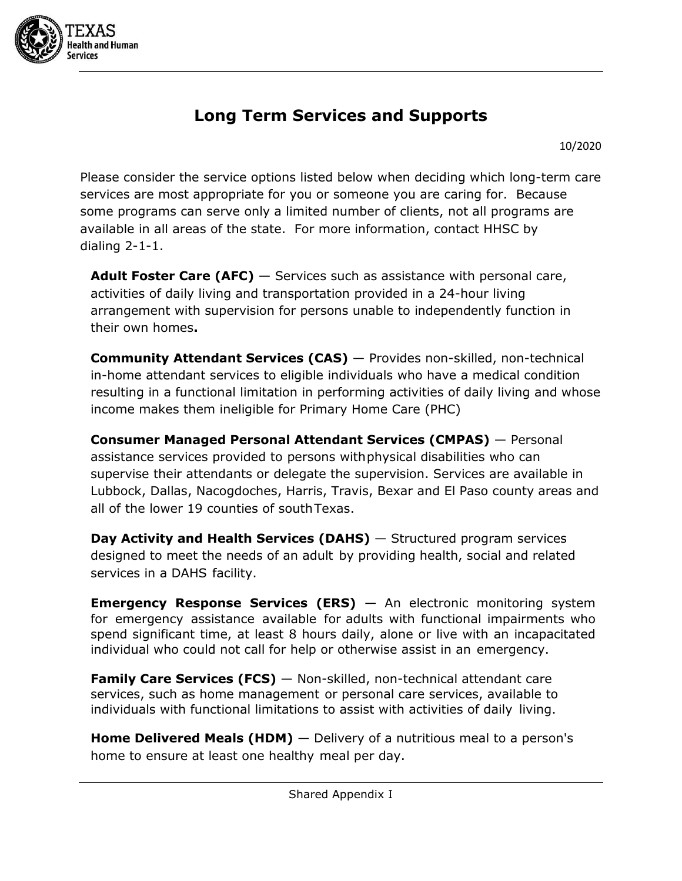

# **Long Term Services and Supports**

10/2020

Please consider the service options listed below when deciding which long-term care services are most appropriate for you or someone you are caring for. Because some programs can serve only a limited number of clients, not all programs are available in all areas of the state. For more information, contact HHSC by dialing 2-1-1.

**Adult Foster Care (AFC)** — Services such as assistance with personal care, activities of daily living and transportation provided in a 24-hour living arrangement with supervision for persons unable to independently function in their own homes**.**

**Community Attendant Services (CAS)** — Provides non-skilled, non-technical in-home attendant services to eligible individuals who have a medical condition resulting in a functional limitation in performing activities of daily living and whose income makes them ineligible for Primary Home Care (PHC)

**Consumer Managed Personal Attendant Services (CMPAS)** — Personal assistance services provided to persons withphysical disabilities who can supervise their attendants or delegate the supervision. Services are available in Lubbock, Dallas, Nacogdoches, Harris, Travis, Bexar and El Paso county areas and all of the lower 19 counties of southTexas.

**Day Activity and Health Services (DAHS)** — Structured program services designed to meet the needs of an adult by providing health, social and related services in a DAHS facility.

**Emergency Response Services (ERS)** — An electronic monitoring system for emergency assistance available for adults with functional impairments who spend significant time, at least 8 hours daily, alone or live with an incapacitated individual who could not call for help or otherwise assist in an emergency.

**Family Care Services (FCS)** — Non-skilled, non-technical attendant care services, such as home management or personal care services, available to individuals with functional limitations to assist with activities of daily living.

**Home Delivered Meals (HDM)** — Delivery of a nutritious meal to a person's home to ensure at least one healthy meal per day.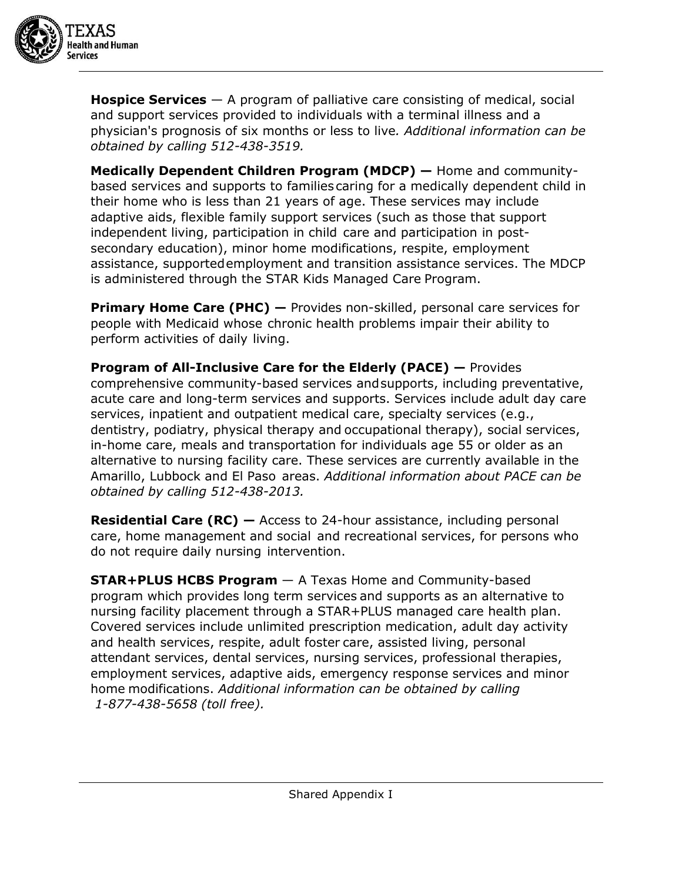

**Hospice Services** — A program of palliative care consisting of medical, social and support services provided to individuals with a terminal illness and a physician's prognosis of six months or less to live*. Additional information can be obtained by calling 512-438-3519.*

**Medically Dependent Children Program (MDCP) —** Home and communitybased services and supports to families caring for a medically dependent child in their home who is less than 21 years of age. These services may include adaptive aids, flexible family support services (such as those that support independent living, participation in child care and participation in postsecondary education), minor home modifications, respite, employment assistance, supportedemployment and transition assistance services. The MDCP is administered through the STAR Kids Managed Care Program.

**Primary Home Care (PHC) —** Provides non-skilled, personal care services for people with Medicaid whose chronic health problems impair their ability to perform activities of daily living.

**Program of All-Inclusive Care for the Elderly (PACE) —** Provides comprehensive community-based services andsupports, including preventative, acute care and long-term services and supports. Services include adult day care services, inpatient and outpatient medical care, specialty services (e.g., dentistry, podiatry, physical therapy and occupational therapy), social services, in-home care, meals and transportation for individuals age 55 or older as an alternative to nursing facility care. These services are currently available in the Amarillo, Lubbock and El Paso areas. *Additional information about PACE can be obtained by calling 512-438-2013.*

**Residential Care (RC) —** Access to 24-hour assistance, including personal care, home management and social and recreational services, for persons who do not require daily nursing intervention.

**STAR+PLUS HCBS Program** — A Texas Home and Community-based program which provides long term services and supports as an alternative to nursing facility placement through a STAR+PLUS managed care health plan. Covered services include unlimited prescription medication, adult day activity and health services, respite, adult foster care, assisted living, personal attendant services, dental services, nursing services, professional therapies, employment services, adaptive aids, emergency response services and minor home modifications. *Additional information can be obtained by calling 1-877-438-5658 (toll free).*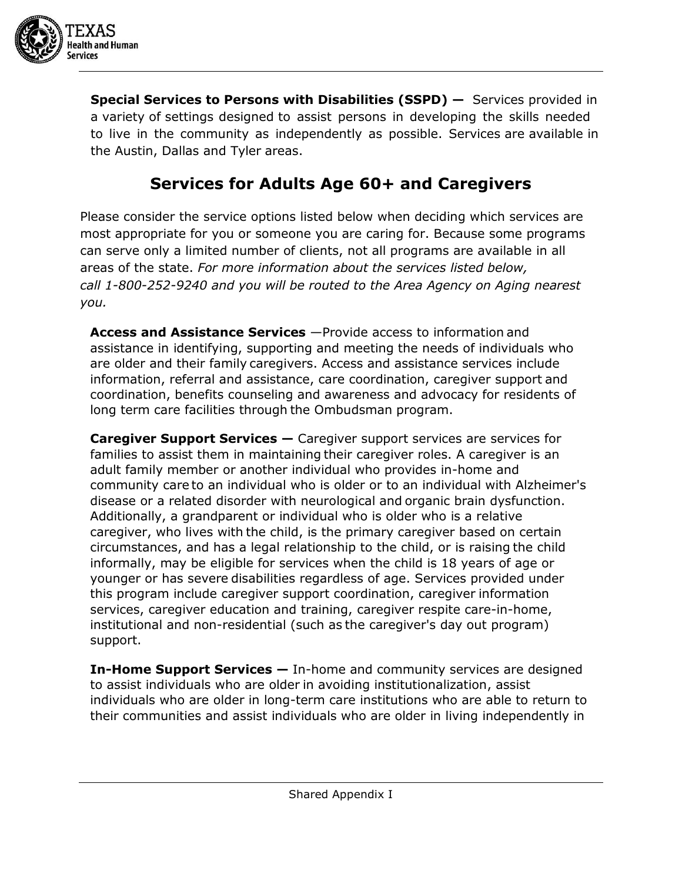

**Special Services to Persons with Disabilities (SSPD) —** Services provided in a variety of settings designed to assist persons in developing the skills needed to live in the community as independently as possible. Services are available in the Austin, Dallas and Tyler areas.

## **Services for Adults Age 60+ and Caregivers**

Please consider the service options listed below when deciding which services are most appropriate for you or someone you are caring for. Because some programs can serve only a limited number of clients, not all programs are available in all areas of the state. *For more information about the services listed below, call 1-800-252-9240 and you will be routed to the Area Agency on Aging nearest you.*

**Access and Assistance Services** —Provide access to information and assistance in identifying, supporting and meeting the needs of individuals who are older and their family caregivers. Access and assistance services include information, referral and assistance, care coordination, caregiver support and coordination, benefits counseling and awareness and advocacy for residents of long term care facilities through the Ombudsman program.

**Caregiver Support Services —** Caregiver support services are services for families to assist them in maintaining their caregiver roles. A caregiver is an adult family member or another individual who provides in-home and community care to an individual who is older or to an individual with Alzheimer's disease or a related disorder with neurological and organic brain dysfunction. Additionally, a grandparent or individual who is older who is a relative caregiver, who lives with the child, is the primary caregiver based on certain circumstances, and has a legal relationship to the child, or is raising the child informally, may be eligible for services when the child is 18 years of age or younger or has severe disabilities regardless of age. Services provided under this program include caregiver support coordination, caregiver information services, caregiver education and training, caregiver respite care-in-home, institutional and non-residential (such as the caregiver's day out program) support.

**In-Home Support Services —** In-home and community services are designed to assist individuals who are older in avoiding institutionalization, assist individuals who are older in long-term care institutions who are able to return to their communities and assist individuals who are older in living independently in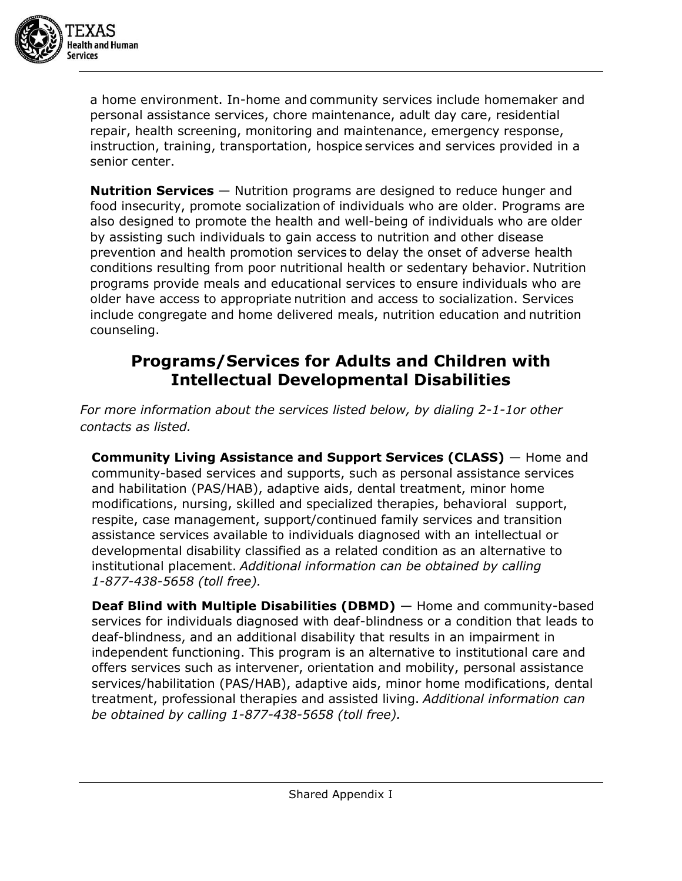

a home environment. In-home and community services include homemaker and personal assistance services, chore maintenance, adult day care, residential repair, health screening, monitoring and maintenance, emergency response, instruction, training, transportation, hospice services and services provided in a senior center.

**Nutrition Services** — Nutrition programs are designed to reduce hunger and food insecurity, promote socialization of individuals who are older. Programs are also designed to promote the health and well-being of individuals who are older by assisting such individuals to gain access to nutrition and other disease prevention and health promotion services to delay the onset of adverse health conditions resulting from poor nutritional health or sedentary behavior. Nutrition programs provide meals and educational services to ensure individuals who are older have access to appropriate nutrition and access to socialization. Services include congregate and home delivered meals, nutrition education and nutrition counseling.

### **Programs/Services for Adults and Children with Intellectual Developmental Disabilities**

*For more information about the services listed below, by dialing 2-1-1or other contacts as listed.*

**Community Living Assistance and Support Services (CLASS)** — Home and community-based services and supports, such as personal assistance services and habilitation (PAS/HAB), adaptive aids, dental treatment, minor home modifications, nursing, skilled and specialized therapies, behavioral support, respite, case management, support/continued family services and transition assistance services available to individuals diagnosed with an intellectual or developmental disability classified as a related condition as an alternative to institutional placement. *Additional information can be obtained by calling 1-877-438-5658 (toll free).*

**Deaf Blind with Multiple Disabilities (DBMD)** — Home and community-based services for individuals diagnosed with deaf-blindness or a condition that leads to deaf-blindness, and an additional disability that results in an impairment in independent functioning. This program is an alternative to institutional care and offers services such as intervener, orientation and mobility, personal assistance services/habilitation (PAS/HAB), adaptive aids, minor home modifications, dental treatment, professional therapies and assisted living. *Additional information can be obtained by calling 1-877-438-5658 (toll free).*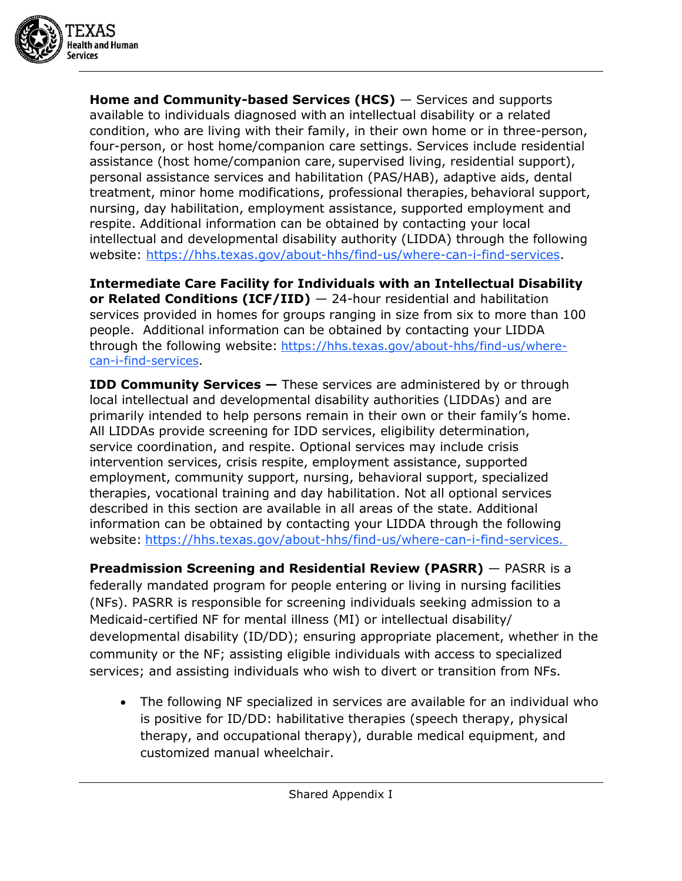

**Home and Community-based Services (HCS)** — Services and supports available to individuals diagnosed with an intellectual disability or a related condition, who are living with their family, in their own home or in three-person, four-person, or host home/companion care settings. Services include residential assistance (host home/companion care, supervised living, residential support), personal assistance services and habilitation (PAS/HAB), adaptive aids, dental treatment, minor home modifications, professional therapies, behavioral support, nursing, day habilitation, employment assistance, supported employment and respite. Additional information can be obtained by contacting your local intellectual and developmental disability authority (LIDDA) through the following website: [https://hhs.texas.gov/about-hhs/find-us/where-can-i-find-services.](https://hhs.texas.gov/about-hhs/find-us/where-can-i-find-services)

**Intermediate Care Facility for Individuals with an Intellectual Disability or Related Conditions (ICF/IID)** — 24-hour residential and habilitation services provided in homes for groups ranging in size from six to more than 100 people. Additional information can be obtained by contacting your LIDDA through the following website: [https://hhs.texas.gov/about-hhs/find-us/where](https://hhs.texas.gov/about-hhs/find-us/where-can-i-find-services)[can-i-find-services.](https://hhs.texas.gov/about-hhs/find-us/where-can-i-find-services)

**IDD Community Services –** These services are administered by or through local intellectual and developmental disability authorities (LIDDAs) and are primarily intended to help persons remain in their own or their family's home. All LIDDAs provide screening for IDD services, eligibility determination, service coordination, and respite. Optional services may include crisis intervention services, crisis respite, employment assistance, supported employment, community support, nursing, behavioral support, specialized therapies, vocational training and day habilitation. Not all optional services described in this section are available in all areas of the state. Additional information can be obtained by contacting your LIDDA through the following website: [https://hhs.texas.gov/about-hhs/find-us/where-can-i-find-services.](https://hhs.texas.gov/about-hhs/find-us/where-can-i-find-services)

**Preadmission Screening and Residential Review (PASRR)** — PASRR is a federally mandated program for people entering or living in nursing facilities (NFs). PASRR is responsible for screening individuals seeking admission to a Medicaid-certified NF for mental illness (MI) or intellectual disability/ developmental disability (ID/DD); ensuring appropriate placement, whether in the community or the NF; assisting eligible individuals with access to specialized services; and assisting individuals who wish to divert or transition from NFs.

• The following NF specialized in services are available for an individual who is positive for ID/DD: habilitative therapies (speech therapy, physical therapy, and occupational therapy), durable medical equipment, and customized manual wheelchair.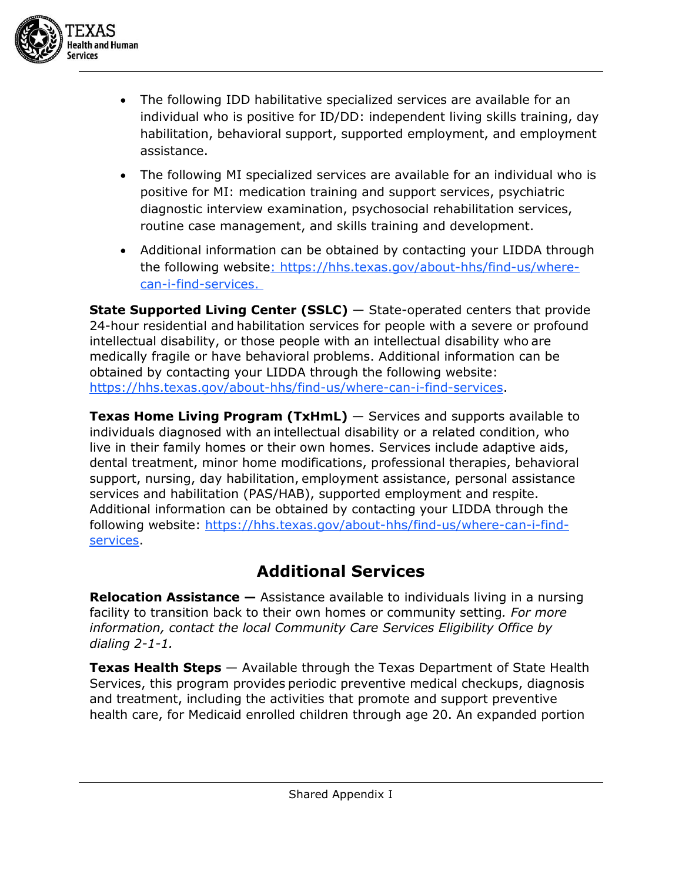

- The following IDD habilitative specialized services are available for an individual who is positive for ID/DD: independent living skills training, day habilitation, behavioral support, supported employment, and employment assistance.
- The following MI specialized services are available for an individual who is positive for MI: medication training and support services, psychiatric diagnostic interview examination, psychosocial rehabilitation services, routine case management, and skills training and development.
- Additional information can be obtained by contacting your LIDDA through the following website: [https://hhs.texas.gov/about-hhs/find-us/where](https://hhs.texas.gov/about-hhs/find-us/where-can-i-find-services)[can-i-find-services.](https://hhs.texas.gov/about-hhs/find-us/where-can-i-find-services)

**State Supported Living Center (SSLC)** – State-operated centers that provide 24-hour residential and habilitation services for people with a severe or profound intellectual disability, or those people with an intellectual disability who are medically fragile or have behavioral problems. Additional information can be obtained by contacting your LIDDA through the following website: [https://hhs.texas.gov/about-hhs/find-us/where-can-i-find-services.](https://hhs.texas.gov/about-hhs/find-us/where-can-i-find-services)

**Texas Home Living Program (TxHmL)** — Services and supports available to individuals diagnosed with an intellectual disability or a related condition, who live in their family homes or their own homes. Services include adaptive aids, dental treatment, minor home modifications, professional therapies, behavioral support, nursing, day habilitation, employment assistance, personal assistance services and habilitation (PAS/HAB), supported employment and respite. Additional information can be obtained by contacting your LIDDA through the following website: [https://hhs.texas.gov/about-hhs/find-us/where-can-i-find](https://hhs.texas.gov/about-hhs/find-us/where-can-i-find-services)[services.](https://hhs.texas.gov/about-hhs/find-us/where-can-i-find-services)

## **Additional Services**

**Relocation Assistance —** Assistance available to individuals living in a nursing facility to transition back to their own homes or community setting*. For more information, contact the local Community Care Services Eligibility Office by dialing 2-1-1.*

**Texas Health Steps** — Available through the Texas Department of State Health Services, this program provides periodic preventive medical checkups, diagnosis and treatment, including the activities that promote and support preventive health care, for Medicaid enrolled children through age 20. An expanded portion